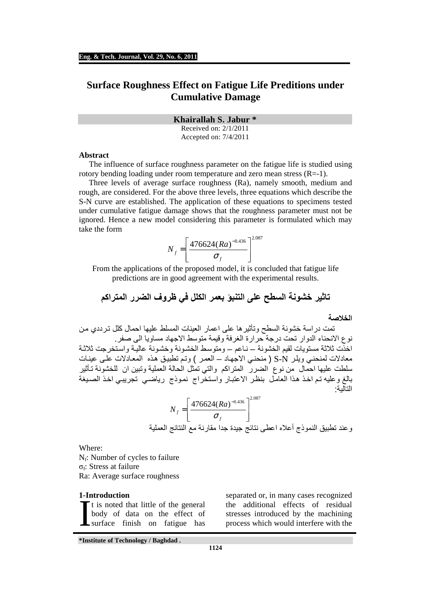# **Surface Roughness Effect on Fatigue Life Preditions under Cumulative Damage**

**Khairallah S. Jabur \*** 

Received on: 2/1/2011 Accepted on: 7/4/2011

#### **Abstract**

 The influence of surface roughness parameter on the fatigue life is studied using rotory bending loading under room temperature and zero mean stress  $(R=1)$ .

Three levels of average surface roughness (Ra), namely smooth, medium and rough, are considered. For the above three levels, three equations which describe the S-N curve are established. The application of these equations to specimens tested under cumulative fatigue damage shows that the roughness parameter must not be ignored. Hence a new model considering this parameter is formulated which may take the form

$$
N_f = \left[\frac{476624(Ra)^{-0.436}}{\sigma_f}\right]^{2.087}
$$

From the applications of the proposed model, it is concluded that fatigue life predictions are in good agreement with the experimental results.

**تاثير خشونة السطح على التنبؤ بعمر الكلل في ظروف الضرر المتراكم** 

#### **الخ!صة**

 تمت دراسة خشونة السطح وتأثيرھا على اعمار العينات المسلط عليھا احمال كلل ترددي من نوع الانحناء الدوار تحت درجة حرارة الغرفة وقيمة متوسط الاجهاد مساويا الى صفر. اخذّت ثلاثة مستويات لقيم الخشونة – ناعم – ومتوسط الخشونة وخشونة عالية واستخرجت ثلاثة معاد\$ت لمنحني ويلر N-S ) منحني ا\$جھاد – العمر ) وتم تطبيق ھذه المعاد\$ت على عينات سلطت عليھا احمال من نوع الضرر المتراكم والتي تمثل الحالة العملية وتبين ان للخشونة تأثير بالغ وعليه تم اخذ هذا العامل بنظر الاعتبار واستخَّراج نموذج رياضـي تجريبـي اخذ الصيغة التالية :

$$
N_f = \left[\frac{476624(Ra)^{-0.436}}{\sigma_f}\right]^{2.087}
$$
و عند تظبيق النتائج العملية

Where:

 $N_f$ : Number of cycles to failure σ<sub>f</sub>: Stress at failure Ra: Average surface roughness

#### **1-Introduction**

t is noted that little of the general body of data on the effect of surface finish on fatigue has

separated or, in many cases recognized the additional effects of residual I have the machining<br>It is noted that little of the general the additional effects of residual<br>body of data on the effect of stresses introduced by the machining<br>surface finish on fatigue has process which would interfere

**\*Institute of Technology / Baghdad .** 

**1124**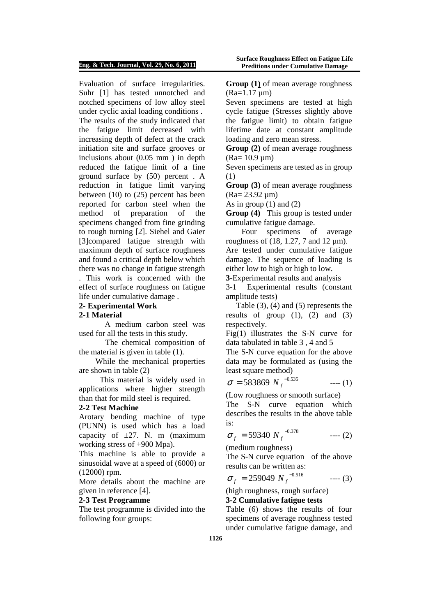#### **Eng. & Tech. Journal, Vol. 29, No. 6, 2011**

Evaluation of surface irregularities. Suhr [1] has tested unnotched and notched specimens of low alloy steel under cyclic axial loading conditions . The results of the study indicated that the fatigue limit decreased with increasing depth of defect at the crack initiation site and surface grooves or inclusions about (0.05 mm ) in depth reduced the fatigue limit of a fine ground surface by (50) percent . A reduction in fatigue limit varying between (10) to (25) percent has been reported for carbon steel when the method of preparation of the specimens changed from fine grinding to rough turning [2]. Siehel and Gaier [3]compared fatigue strength with maximum depth of surface roughness and found a critical depth below which there was no change in fatigue strength . This work is concerned with the effect of surface roughness on fatigue

life under cumulative damage .

## **2- Experimental Work**

### **2-1 Material**

 A medium carbon steel was used for all the tests in this study.

The chemical composition of the material is given in table (1).

While the mechanical properties are shown in table (2)

This material is widely used in applications where higher strength than that for mild steel is required.

### **2-2 Test Machine**

Arotary bending machine of type (PUNN) is used which has a load capacity of  $\pm 27$ . N. m (maximum) working stress of +900 Mpa).

This machine is able to provide a sinusoidal wave at a speed of (6000) or (12000) rpm.

More details about the machine are given in reference [4].

### **2-3 Test Programme**

The test programme is divided into the following four groups:

**Group (1)** of mean average roughness  $(Ra=1.17 \text{ µm})$ 

Seven specimens are tested at high cycle fatigue (Stresses slightly above the fatigue limit) to obtain fatigue lifetime date at constant amplitude loading and zero mean stress.

**Group (2)** of mean average roughness  $(Ra= 10.9 \text{ µm})$ 

Seven specimens are tested as in group (1)

**Group (3)** of mean average roughness (Ra= 23.92 µm)

As in group  $(1)$  and  $(2)$ 

**Group (4)** This group is tested under cumulative fatigue damage.

Four specimens of average roughness of  $(18, 1.27, 7$  and  $12 \mu m$ ). Are tested under cumulative fatigue damage. The sequence of loading is either low to high or high to low.

**3**-Experimental results and analysis

3-1 Experimental results (constant amplitude tests)

Table (3), (4) and (5) represents the results of group  $(1)$ ,  $(2)$  and  $(3)$ respectively.

Fig(1) illustrates the S-N curve for data tabulated in table 3 , 4 and 5

The S-N curve equation for the above data may be formulated as (using the least square method)

$$
\sigma = 583869 N_f^{-0.535} \qquad \qquad --- (1)
$$

(Low roughness or smooth surface) The S-N curve equation which describes the results in the above table is:

$$
\sigma_f = 59340 N_f^{-0.378} \qquad \qquad \text{--- (2)}
$$

(medium roughness)

The S-N curve equation of the above results can be written as:

$$
\sigma_f = 259049 N_f^{-0.516} \qquad \qquad \text{---} \text{ (3)}
$$

(high roughness, rough surface)

### **3-2 Cumulative fatigue tests**

Table (6) shows the results of four specimens of average roughness tested under cumulative fatigue damage, and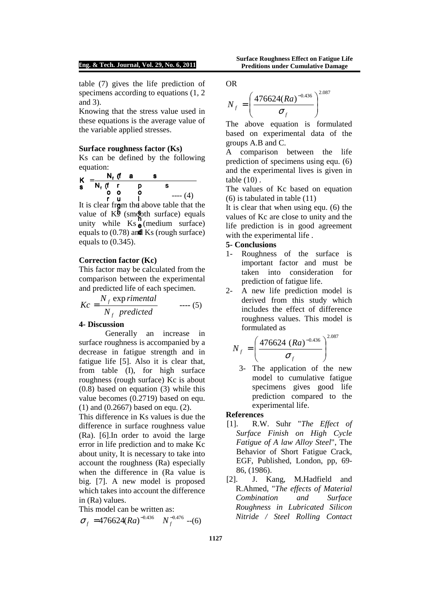#### **Eng. & Tech. Journal, Vol. 29, No. 6, 2011**

**Surface Roughness Effect on Fatigue Life Preditions under Cumulative Damage** 

table (7) gives the life prediction of specimens according to equations  $(1, 2)$ and 3).

Knowing that the stress value used in these equations is the average value of the variable applied stresses.

#### **Surface roughness factor (Ks)**

Ks can be defined by the following equation:



fac  $\mathbf{m}$ equals to  $(0.78)$  and Ks (rough surface)  $\mathbf{m}$ p<br> **b**<br> **i** above ta<br> **s**<br> **h**<br> **e** (mediun<br> **d** Ks (rou ์<br>กิ๊ e( unity while  $\text{Ks}_{\text{e}}^{\text{n}}$  (medium surface) value of  $K\bar{S}$  (smooth surface) equals o o o<br>r u l<br>r from the above<br>i th It is clear from the above table that the equals to (0.345).

#### **Correction factor (Kc)**

This factor may be calculated from the comparison between the experimental and predicted life of each specimen.

$$
Kc = \frac{N_f \exp rimental}{N_f \ predicted} \qquad \qquad \text{---}(5)
$$

#### **4- Discussion**

Generally an increase in surface roughness is accompanied by a decrease in fatigue strength and in fatigue life [5]. Also it is clear that, from table (I), for high surface roughness (rough surface) Kc is about (0.8) based on equation (3) while this value becomes (0.2719) based on equ. (1) and (0.2667) based on equ. (2).

This difference in Ks values is due the difference in surface roughness value (Ra). [6].In order to avoid the large error in life prediction and to make Kc about unity, It is necessary to take into account the roughness (Ra) especially when the difference in (Ra value is big. [7]. A new model is proposed which takes into account the difference in (Ra) values.

This model can be written as:

$$
\sigma_f = 476624(Ra)^{-0.436} N_f^{-0.476} - (6)
$$

$$
\mathop{\rm OR}\nolimits
$$

$$
N_f = \left(\frac{476624(Ra)^{-0.436}}{\sigma_f}\right)^{2.087}
$$

The above equation is formulated based on experimental data of the groups A.B and C.

A comparison between the life prediction of specimens using equ. (6) and the experimental lives is given in table (10) .

The values of Kc based on equation (6) is tabulated in table (11)

It is clear that when using equ. (6) the values of Kc are close to unity and the life prediction is in good agreement with the experimental life .

### **5- Conclusions**

- 1- Roughness of the surface is important factor and must be taken into consideration for prediction of fatigue life.
- 2- A new life prediction model is derived from this study which includes the effect of difference roughness values. This model is formulated as

$$
N_f = \left(\frac{476624 (Ra)^{-0.436}}{\sigma_f}\right)^{2.087}
$$

3- The application of the new model to cumulative fatigue specimens gives good life prediction compared to the experimental life.

#### **References**

- [1]. R.W. Suhr "*The Effect of Surface Finish on High Cycle Fatigue of A law Alloy Steel*", The Behavior of Short Fatigue Crack, EGF, Published, London, pp, 69- 86, (1986).
- [2]. J. Kang, M.Hadfield and R.Ahmed, "*The effects of Material Combination and Surface Roughness in Lubricated Silicon Nitride / Steel Rolling Contact*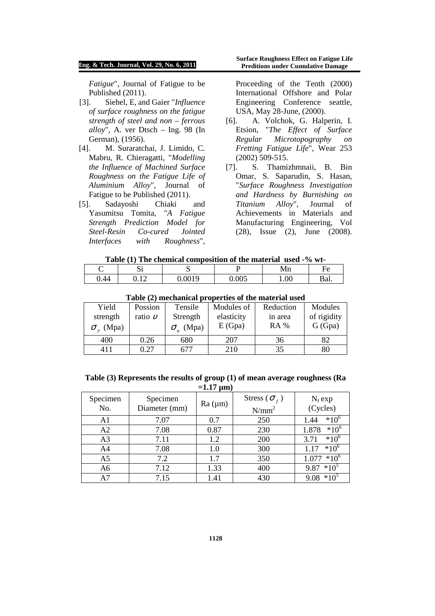#### **Eng. & Tech. Journal, Vol. 29, No. 6, 2011**

*Fatigue*", Journal of Fatigue to be Published (2011).

- [3]. Siehel, E, and Gaier "*Influence of surface roughness on the fatigue strength of steel and non – ferrous alloy*", A. ver Dtsch – Ing. 98 (In German), (1956).
- [4]. M. Suraratchai, J. Limido, C. Mabru, R. Chieragatti, "*Modelling the Influence of Machined Surface Roughness on the Fatigue Life of Aluminium Alloy*", Journal of Fatigue to be Published (2011).
- [5]. Sadayoshi Chiaki and Yasumitsu Tomita, "*A Fatigue Strength Prediction Model for Steel-Resin Co-cured Jointed Interfaces with Roughness*",

Proceeding of the Tenth (2000) International Offshore and Polar Engineering Conference seattle, USA, May 28-June, (2000).

- [6]. A. Volchok, G. Halperin, I. Etsion, "*The Effect of Surface Regular Microtopography on Fretting Fatigue Life*", Wear 253 (2002) 509-515.
- [7]. S. Thamizhmnaii, B. Bin Omar, S. Saparudin, S. Hasan, "*Surface Roughness Investigation and Hardness by Burnishing on Titanium Alloy*", Journal of Achievements in Materials and Manufacturing Engineering, Vol (28), Issue (2), June (2008).

### **Table (1) The chemical composition of the material used -% wt-**

|      | ື                                 | ັ      |                   | 17111 | ⊣ ≏  |
|------|-----------------------------------|--------|-------------------|-------|------|
| 0.44 | $\sim$<br>$J \cdot L \rightarrow$ | 0.0019 | $\Omega$<br>J.UUJ | 1.00  | Bal. |

| Tuble (2) micchanneal properties of the material asset |             |          |            |             |             |  |  |  |
|--------------------------------------------------------|-------------|----------|------------|-------------|-------------|--|--|--|
| Yield                                                  | Possion     | Tensile  | Modules of | Reduction   | Modules     |  |  |  |
| strength                                               | ratio $\nu$ | Strength | elasticity | in area     | of rigidity |  |  |  |
| $\sigma$ <sub>v</sub> (Mpa)                            |             | (Mpa)    | E(Gpa)     | <b>RA</b> % | G (Gpa)     |  |  |  |
| 400                                                    | 0.26        | 680      | 207        | 36          | 82          |  |  |  |
| 411                                                    | 0.27        | 677      | 210        | 35          | 80          |  |  |  |

#### **Table (2) mechanical properties of the material used**

| Table (3) Represents the results of group (1) of mean average roughness (Ra |
|-----------------------------------------------------------------------------|
| $=1.17 \text{ }\mu\text{m}$                                                 |

| Specimen<br>No. | Specimen<br>Diameter (mm) | Ra (µm) | Stress ( $\sigma_f$ )<br>$N/mm^2$ | $N_f$ exp<br>(Cycles) |
|-----------------|---------------------------|---------|-----------------------------------|-----------------------|
| A <sub>1</sub>  | 7.07                      | 0.7     | 250                               | $*10^6$<br>1.44       |
| A2              | 7.08                      | 0.87    | 230                               | $*10^6$<br>1.878      |
| A <sub>3</sub>  | 7.11                      | 1.2     | 200                               | $*10^{6}$<br>3.71     |
| A4              | 7.08                      | 1.0     | 300                               | $*10^{6}$             |
| A5              | 7.2                       | 1.7     | 350                               | $*10^{6}$<br>1.077    |
| A6              | 7.12                      | 1.33    | 400                               | $*10^5$<br>9.87       |
| A7              | 7.15                      | 1.41    | 430                               | $*10^5$<br>9.08       |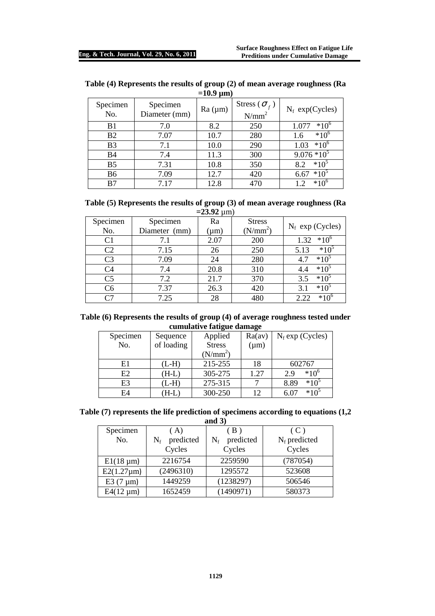| Specimen<br>No. | Specimen<br>Diameter (mm) | Ra (µm) | Stress ( $\sigma_f$ )<br>$N/mm^2$ | $N_f$ exp(Cycles)              |
|-----------------|---------------------------|---------|-----------------------------------|--------------------------------|
| B <sub>1</sub>  | 7.0                       | 8.2     | 250                               | $*10^{6}$<br>$1.07^{^{\circ}}$ |
| <b>B2</b>       | 7.07                      | 10.7    | 280                               | $*10^{\circ}$<br>1.6           |
| B <sub>3</sub>  | 7.1                       | 10.0    | 290                               | $*10^{6}$<br>1.03              |
| B4              | 7.4                       | 11.3    | 300                               | $9.076*10^{5}$                 |
| B <sub>5</sub>  | 7.31                      | 10.8    | 350                               | $*10^5$<br>8.2                 |
| B6              | 7.09                      | 12.7    | 420                               | $*10^5$<br>6.67                |
| B7              | 7.17                      | 12.8    | 470                               | $*10^{\circ}$                  |

| Table (4) Represents the results of group (2) of mean average roughness (Ra |                             |  |  |
|-----------------------------------------------------------------------------|-----------------------------|--|--|
|                                                                             | $=10.9 \text{ }\mu\text{m}$ |  |  |

| Table (5) Represents the results of group (3) of mean average roughness (Ra |
|-----------------------------------------------------------------------------|
| $= 23.92$ um)                                                               |

| $-43.74 \mu m$ |               |           |               |                       |  |  |
|----------------|---------------|-----------|---------------|-----------------------|--|--|
| Specimen       | Specimen      | Ra        | <b>Stress</b> | $N_f$ exp (Cycles)    |  |  |
| No.            | Diameter (mm) | $(\mu m)$ | $(N/mm^2)$    |                       |  |  |
| C <sub>1</sub> | 7.1           | 2.07      | 200           | $*10^{\circ}$<br>1.32 |  |  |
| C <sub>2</sub> | 7.15          | 26        | 250           | $*10^5$<br>5.13       |  |  |
| C <sub>3</sub> | 7.09          | 24        | 280           | $*10^5$<br>4.7        |  |  |
| C <sub>4</sub> | 7.4           | 20.8      | 310           | $*10^5$<br>4.4        |  |  |
| C <sub>5</sub> | 7.2           | 21.7      | 370           | 3.5<br>$*10^3$        |  |  |
| C6             | 7.37          | 26.3      | 420           | 3.1<br>$*10^5$        |  |  |
| C7             | 7.25          | 28        | 480           | $*10^{\circ}$<br>2.22 |  |  |

### **Table (6) Represents the results of group (4) of average roughness tested under cumulative fatigue damage**

| Specimen | Sequence   | Applied       | Ra(av)    | $N_f$ exp (Cycles) |
|----------|------------|---------------|-----------|--------------------|
| No.      | of loading | <b>Stress</b> | $(\mu m)$ |                    |
|          |            | $(N/mm^2)$    |           |                    |
| E1       | $(L-H)$    | 215-255       | 18        | 602767             |
| E2       | $(H-L)$    | 305-275       | 1.27      | $*10^{6}$<br>2.9   |
| E3       | $(L-H)$    | 275-315       |           | $*10^5$<br>8.89    |
| E4       | H-L        | 300-250       | 12        | $*10^5$<br>6.07    |

# **Table (7) represents the life prediction of specimens according to equations (1,2**

|--|

| Specimen         | ( A)               | $\cdot$ B.         | (C)      |
|------------------|--------------------|--------------------|----------|
| No.              | predicted<br>$N_f$ | predicted<br>$N_f$ |          |
|                  | Cycles             | Cycles             | Cycles   |
| $E1(18 \mu m)$   | 2216754            | 2259590            | (787054) |
| $E2(1.27 \mu m)$ | (2496310)          | 1295572            | 523608   |
| E3 $(7 \mu m)$   | 1449259            | (1238297)          | 506546   |
| $E4(12 \mu m)$   | 1652459            | (1490971)          | 580373   |